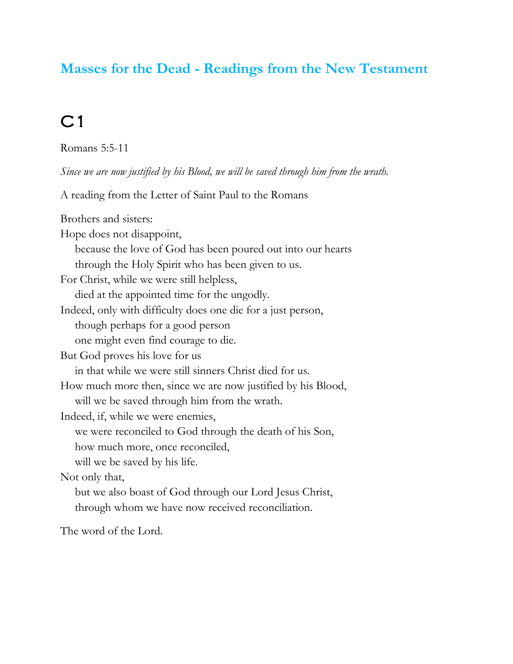#### **Masses for the Dead - Readings from the New Testament**

#### $C1$

Romans 5:5-11

*Since we are now justified by his Blood, we will be saved through him from the wrath.*

A reading from the Letter of Saint Paul to the Romans

Brothers and sisters: Hope does not disappoint, because the love of God has been poured out into our hearts through the Holy Spirit who has been given to us. For Christ, while we were still helpless, died at the appointed time for the ungodly. Indeed, only with difficulty does one die for a just person, though perhaps for a good person one might even find courage to die. But God proves his love for us in that while we were still sinners Christ died for us. How much more then, since we are now justified by his Blood, will we be saved through him from the wrath. Indeed, if, while we were enemies, we were reconciled to God through the death of his Son, how much more, once reconciled, will we be saved by his life. Not only that, but we also boast of God through our Lord Jesus Christ, through whom we have now received reconciliation.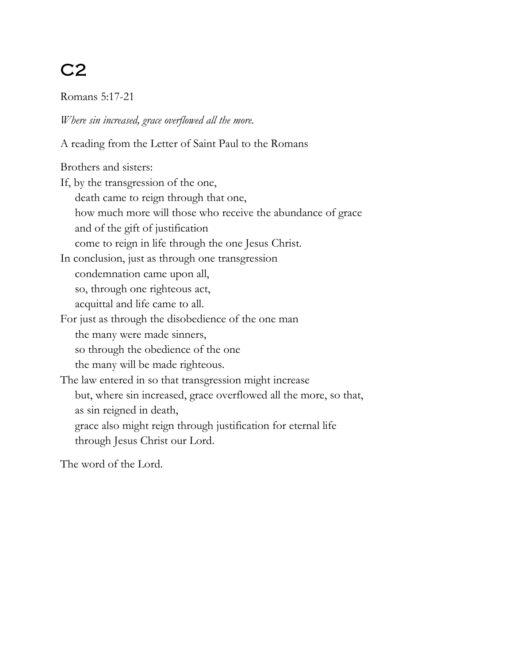Romans 5:17-21

*Where sin increased, grace overflowed all the more.*

A reading from the Letter of Saint Paul to the Romans

Brothers and sisters:

If, by the transgression of the one, death came to reign through that one, how much more will those who receive the abundance of grace and of the gift of justification come to reign in life through the one Jesus Christ. In conclusion, just as through one transgression condemnation came upon all, so, through one righteous act, acquittal and life came to all. For just as through the disobedience of the one man the many were made sinners, so through the obedience of the one the many will be made righteous. The law entered in so that transgression might increase but, where sin increased, grace overflowed all the more, so that, as sin reigned in death, grace also might reign through justification for eternal life through Jesus Christ our Lord.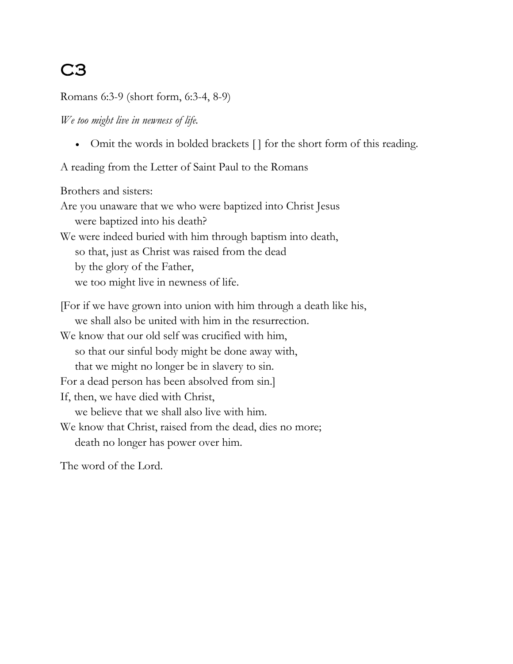Romans 6:3-9 (short form, 6:3-4, 8-9)

*We too might live in newness of life.*

• Omit the words in bolded brackets [] for the short form of this reading.

A reading from the Letter of Saint Paul to the Romans

Brothers and sisters: Are you unaware that we who were baptized into Christ Jesus were baptized into his death? We were indeed buried with him through baptism into death, so that, just as Christ was raised from the dead by the glory of the Father, we too might live in newness of life. [For if we have grown into union with him through a death like his, we shall also be united with him in the resurrection. We know that our old self was crucified with him, so that our sinful body might be done away with, that we might no longer be in slavery to sin. For a dead person has been absolved from sin.] If, then, we have died with Christ, we believe that we shall also live with him. We know that Christ, raised from the dead, dies no more;

death no longer has power over him.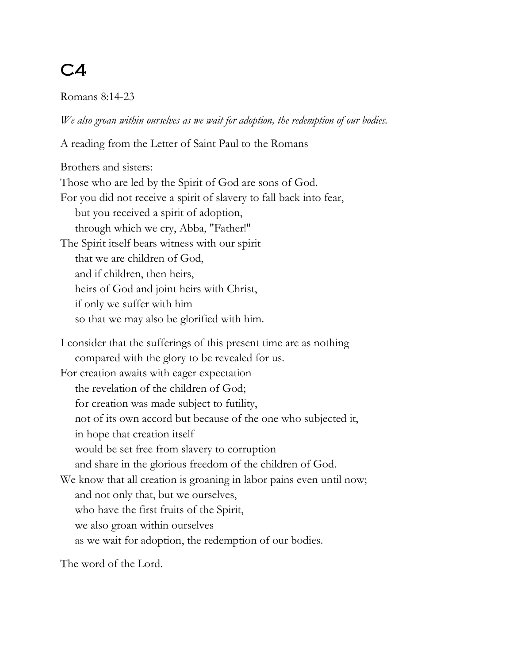#### $C<sub>4</sub>$

Romans 8:14-23

*We also groan within ourselves as we wait for adoption, the redemption of our bodies.*

A reading from the Letter of Saint Paul to the Romans

Brothers and sisters: Those who are led by the Spirit of God are sons of God. For you did not receive a spirit of slavery to fall back into fear, but you received a spirit of adoption, through which we cry, Abba, "Father!" The Spirit itself bears witness with our spirit that we are children of God, and if children, then heirs, heirs of God and joint heirs with Christ, if only we suffer with him so that we may also be glorified with him. I consider that the sufferings of this present time are as nothing compared with the glory to be revealed for us. For creation awaits with eager expectation the revelation of the children of God; for creation was made subject to futility, not of its own accord but because of the one who subjected it, in hope that creation itself would be set free from slavery to corruption and share in the glorious freedom of the children of God. We know that all creation is groaning in labor pains even until now; and not only that, but we ourselves, who have the first fruits of the Spirit, we also groan within ourselves as we wait for adoption, the redemption of our bodies.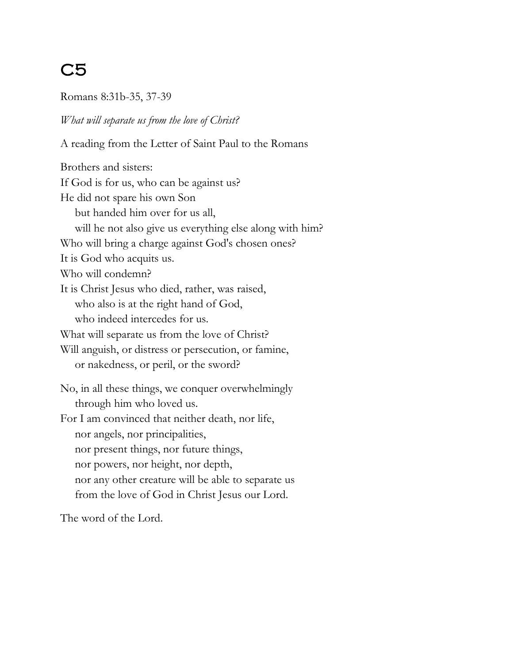Romans 8:31b-35, 37-39

#### *What will separate us from the love of Christ?*

A reading from the Letter of Saint Paul to the Romans

Brothers and sisters: If God is for us, who can be against us? He did not spare his own Son but handed him over for us all, will he not also give us everything else along with him? Who will bring a charge against God's chosen ones? It is God who acquits us. Who will condemn? It is Christ Jesus who died, rather, was raised, who also is at the right hand of God, who indeed intercedes for us. What will separate us from the love of Christ? Will anguish, or distress or persecution, or famine, or nakedness, or peril, or the sword? No, in all these things, we conquer overwhelmingly through him who loved us. For I am convinced that neither death, nor life, nor angels, nor principalities, nor present things, nor future things, nor powers, nor height, nor depth, nor any other creature will be able to separate us from the love of God in Christ Jesus our Lord.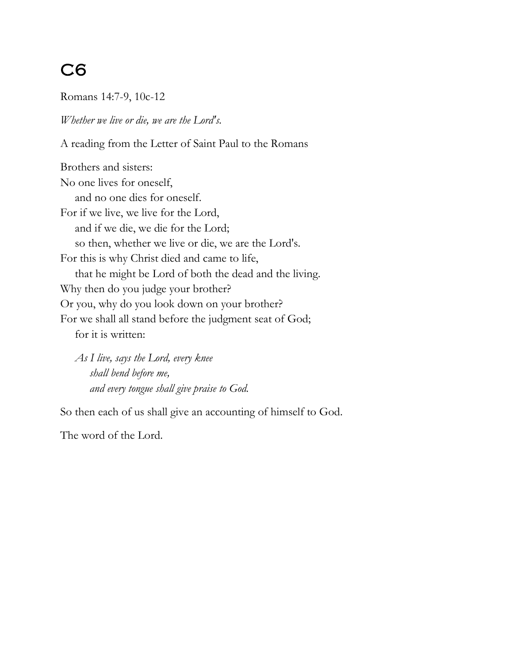Romans 14:7-9, 10c-12

*Whether we live or die, we are the Lord's.*

A reading from the Letter of Saint Paul to the Romans

Brothers and sisters: No one lives for oneself, and no one dies for oneself. For if we live, we live for the Lord, and if we die, we die for the Lord; so then, whether we live or die, we are the Lord's. For this is why Christ died and came to life, that he might be Lord of both the dead and the living. Why then do you judge your brother? Or you, why do you look down on your brother? For we shall all stand before the judgment seat of God; for it is written:

 *As I live, says the Lord, every knee shall bend before me, and every tongue shall give praise to God.*

So then each of us shall give an accounting of himself to God.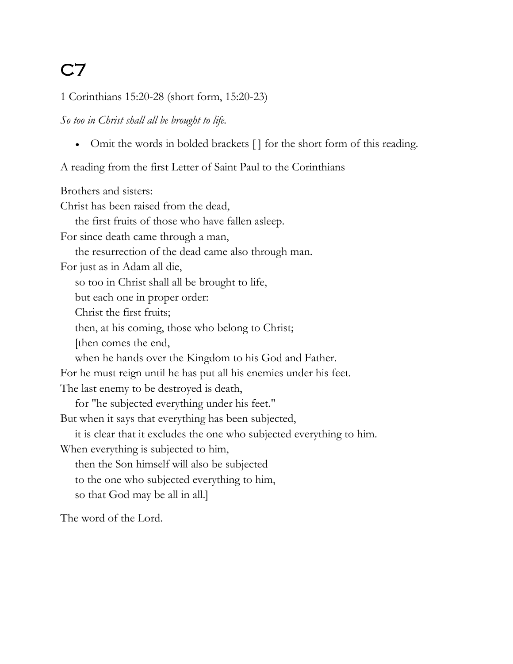1 Corinthians 15:20-28 (short form, 15:20-23)

*So too in Christ shall all be brought to life.*

• Omit the words in bolded brackets [] for the short form of this reading.

A reading from the first Letter of Saint Paul to the Corinthians

Brothers and sisters: Christ has been raised from the dead, the first fruits of those who have fallen asleep. For since death came through a man, the resurrection of the dead came also through man. For just as in Adam all die, so too in Christ shall all be brought to life, but each one in proper order: Christ the first fruits; then, at his coming, those who belong to Christ; [then comes the end, when he hands over the Kingdom to his God and Father. For he must reign until he has put all his enemies under his feet. The last enemy to be destroyed is death, for "he subjected everything under his feet." But when it says that everything has been subjected, it is clear that it excludes the one who subjected everything to him. When everything is subjected to him, then the Son himself will also be subjected to the one who subjected everything to him, so that God may be all in all.]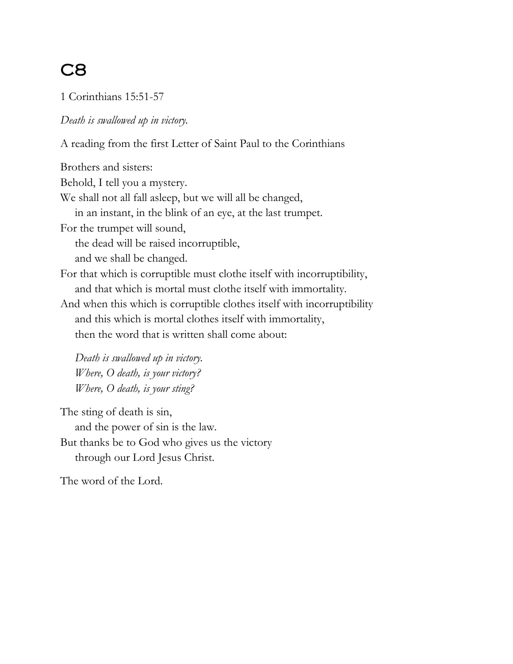1 Corinthians 15:51-57

*Death is swallowed up in victory.*

A reading from the first Letter of Saint Paul to the Corinthians

Brothers and sisters: Behold, I tell you a mystery. We shall not all fall asleep, but we will all be changed, in an instant, in the blink of an eye, at the last trumpet. For the trumpet will sound, the dead will be raised incorruptible, and we shall be changed. For that which is corruptible must clothe itself with incorruptibility, and that which is mortal must clothe itself with immortality. And when this which is corruptible clothes itself with incorruptibility and this which is mortal clothes itself with immortality, then the word that is written shall come about:

 *Death is swallowed up in victory. Where, O death, is your victory? Where, O death, is your sting?*

The sting of death is sin, and the power of sin is the law. But thanks be to God who gives us the victory through our Lord Jesus Christ.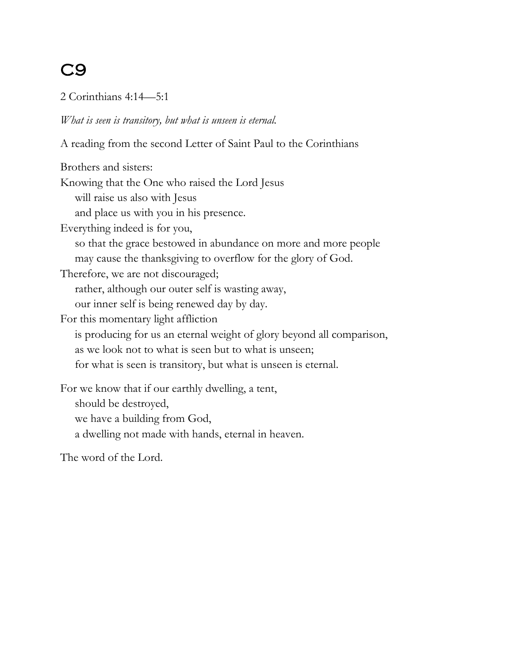#### 2 Corinthians 4:14—5:1

*What is seen is transitory, but what is unseen is eternal.*

A reading from the second Letter of Saint Paul to the Corinthians

Brothers and sisters: Knowing that the One who raised the Lord Jesus will raise us also with Jesus and place us with you in his presence. Everything indeed is for you, so that the grace bestowed in abundance on more and more people may cause the thanksgiving to overflow for the glory of God. Therefore, we are not discouraged; rather, although our outer self is wasting away, our inner self is being renewed day by day. For this momentary light affliction is producing for us an eternal weight of glory beyond all comparison, as we look not to what is seen but to what is unseen; for what is seen is transitory, but what is unseen is eternal. For we know that if our earthly dwelling, a tent, should be destroyed, we have a building from God, a dwelling not made with hands, eternal in heaven.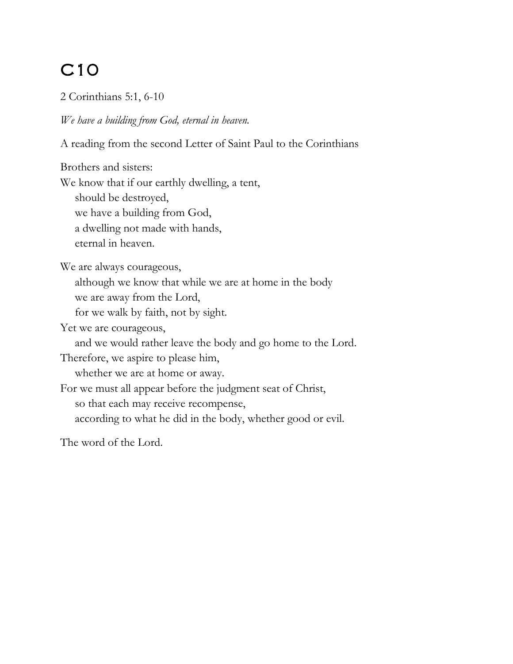2 Corinthians 5:1, 6-10

*We have a building from God, eternal in heaven.*

A reading from the second Letter of Saint Paul to the Corinthians

Brothers and sisters:

We know that if our earthly dwelling, a tent,

should be destroyed,

we have a building from God,

a dwelling not made with hands,

eternal in heaven.

We are always courageous,

although we know that while we are at home in the body

we are away from the Lord,

for we walk by faith, not by sight.

Yet we are courageous,

and we would rather leave the body and go home to the Lord.

Therefore, we aspire to please him,

whether we are at home or away.

For we must all appear before the judgment seat of Christ,

so that each may receive recompense,

according to what he did in the body, whether good or evil.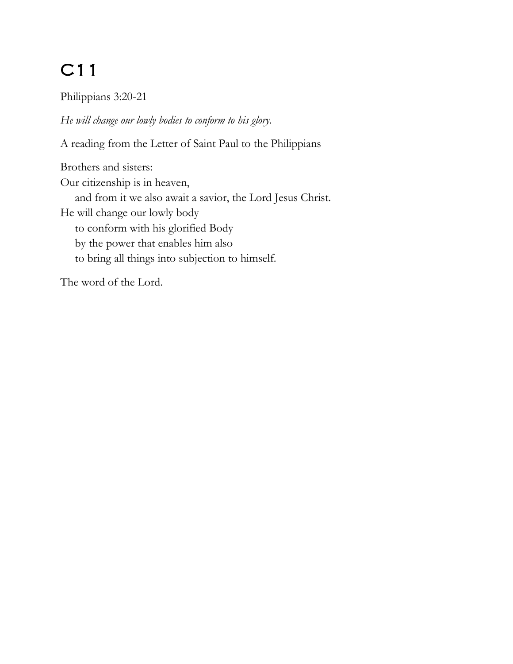Philippians 3:20-21

*He will change our lowly bodies to conform to his glory.*

A reading from the Letter of Saint Paul to the Philippians

Brothers and sisters: Our citizenship is in heaven, and from it we also await a savior, the Lord Jesus Christ. He will change our lowly body to conform with his glorified Body by the power that enables him also to bring all things into subjection to himself.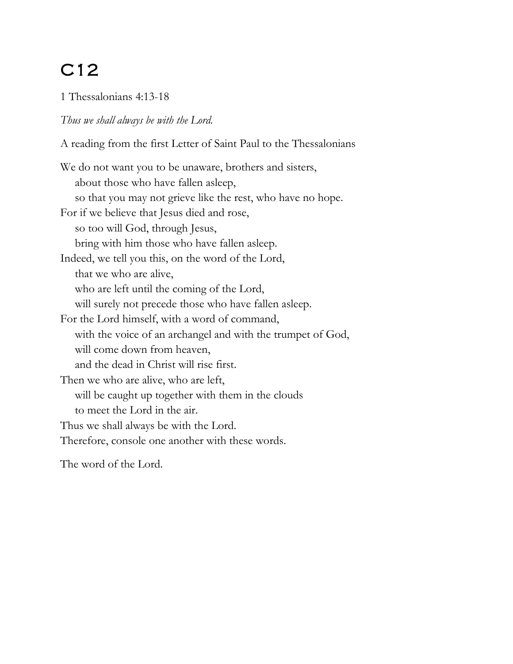1 Thessalonians 4:13-18

#### *Thus we shall always be with the Lord.*

A reading from the first Letter of Saint Paul to the Thessalonians

We do not want you to be unaware, brothers and sisters, about those who have fallen asleep, so that you may not grieve like the rest, who have no hope. For if we believe that Jesus died and rose, so too will God, through Jesus, bring with him those who have fallen asleep. Indeed, we tell you this, on the word of the Lord, that we who are alive, who are left until the coming of the Lord, will surely not precede those who have fallen asleep. For the Lord himself, with a word of command, with the voice of an archangel and with the trumpet of God, will come down from heaven, and the dead in Christ will rise first. Then we who are alive, who are left, will be caught up together with them in the clouds to meet the Lord in the air. Thus we shall always be with the Lord. Therefore, console one another with these words.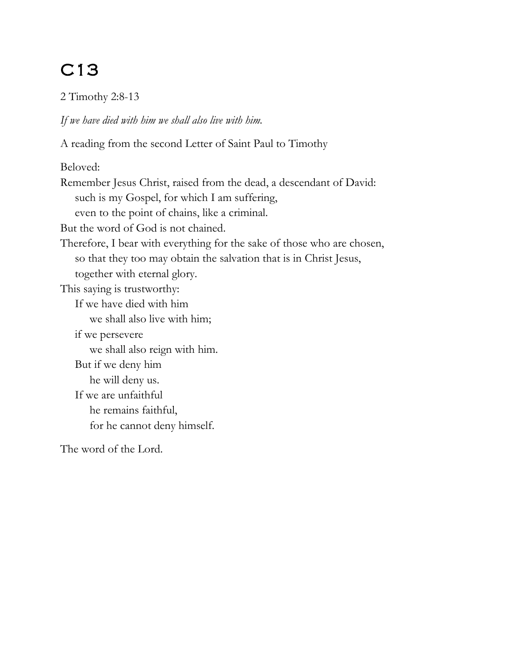2 Timothy 2:8-13

*If we have died with him we shall also live with him.*

A reading from the second Letter of Saint Paul to Timothy

Beloved:

Remember Jesus Christ, raised from the dead, a descendant of David: such is my Gospel, for which I am suffering, even to the point of chains, like a criminal. But the word of God is not chained. Therefore, I bear with everything for the sake of those who are chosen, so that they too may obtain the salvation that is in Christ Jesus, together with eternal glory. This saying is trustworthy: If we have died with him we shall also live with him; if we persevere we shall also reign with him. But if we deny him he will deny us. If we are unfaithful he remains faithful, for he cannot deny himself.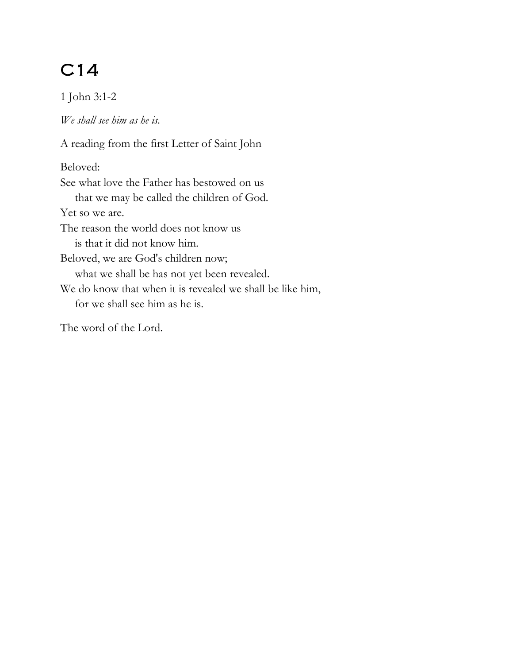1 John 3:1-2

*We shall see him as he is.*

A reading from the first Letter of Saint John Beloved: See what love the Father has bestowed on us that we may be called the children of God. Yet so we are. The reason the world does not know us is that it did not know him. Beloved, we are God's children now; what we shall be has not yet been revealed. We do know that when it is revealed we shall be like him, for we shall see him as he is. The word of the Lord.